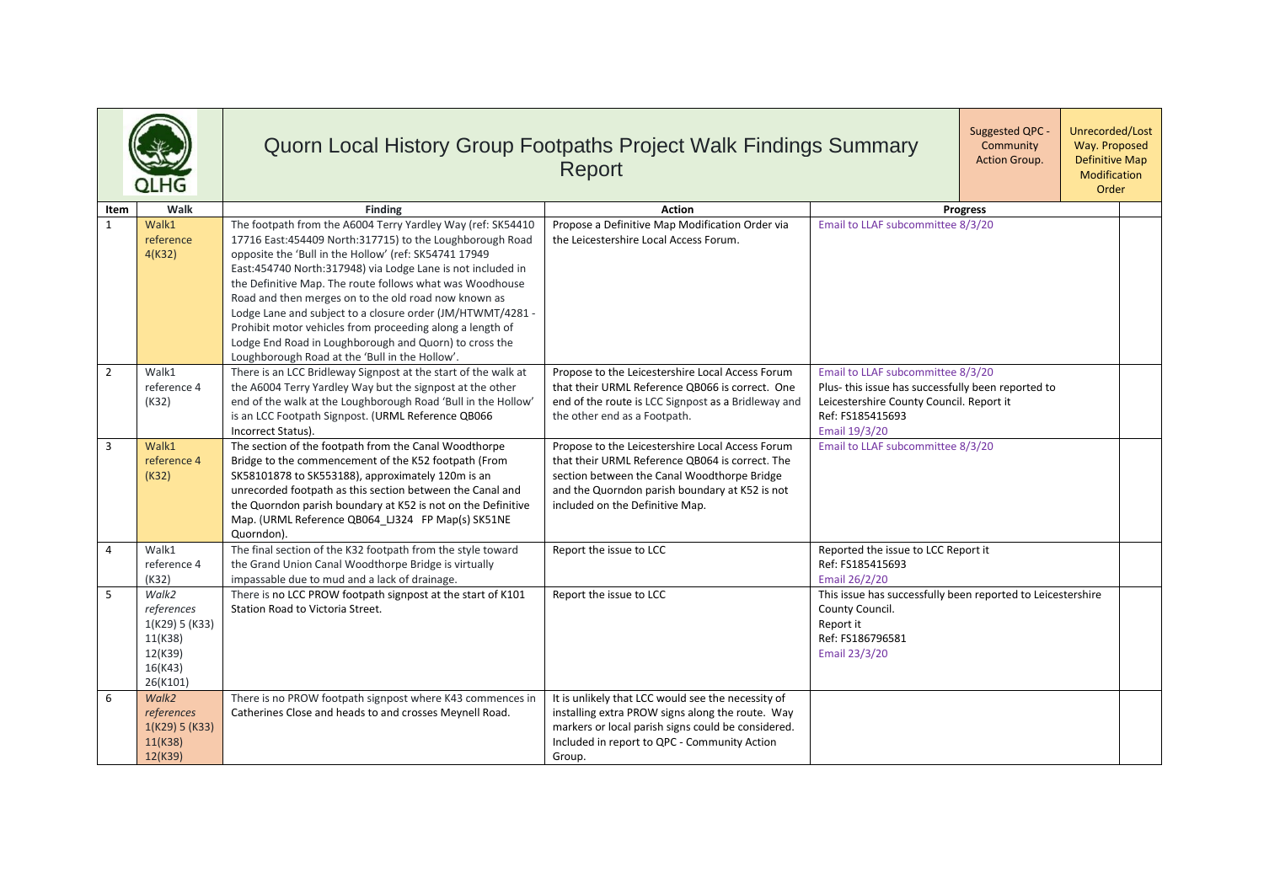|                |                                                                                    | Quorn Local History Group Footpaths Project Walk Findings Summary                                                                                                                                                                                                                                                                                                                                                                                                                                                                                                                                          | Report                                                                                                                                                                                                                                  | Unrecorded/Lost<br>Suggested QPC -<br>Way. Proposed<br>Community<br><b>Action Group.</b><br><b>Definitive Map</b><br>Modification<br>Order                               |  |
|----------------|------------------------------------------------------------------------------------|------------------------------------------------------------------------------------------------------------------------------------------------------------------------------------------------------------------------------------------------------------------------------------------------------------------------------------------------------------------------------------------------------------------------------------------------------------------------------------------------------------------------------------------------------------------------------------------------------------|-----------------------------------------------------------------------------------------------------------------------------------------------------------------------------------------------------------------------------------------|--------------------------------------------------------------------------------------------------------------------------------------------------------------------------|--|
| Item           | Walk                                                                               | <b>Finding</b>                                                                                                                                                                                                                                                                                                                                                                                                                                                                                                                                                                                             | <b>Action</b>                                                                                                                                                                                                                           | <b>Progress</b>                                                                                                                                                          |  |
| $\mathbf{1}$   | Walk1<br>reference<br>4(K32)                                                       | The footpath from the A6004 Terry Yardley Way (ref: SK54410<br>17716 East:454409 North:317715) to the Loughborough Road<br>opposite the 'Bull in the Hollow' (ref: SK54741 17949<br>East:454740 North:317948) via Lodge Lane is not included in<br>the Definitive Map. The route follows what was Woodhouse<br>Road and then merges on to the old road now known as<br>Lodge Lane and subject to a closure order (JM/HTWMT/4281 -<br>Prohibit motor vehicles from proceeding along a length of<br>Lodge End Road in Loughborough and Quorn) to cross the<br>Loughborough Road at the 'Bull in the Hollow'. | Propose a Definitive Map Modification Order via<br>the Leicestershire Local Access Forum.                                                                                                                                               | Email to LLAF subcommittee 8/3/20                                                                                                                                        |  |
| $\overline{2}$ | Walk1<br>reference 4<br>(K32)                                                      | There is an LCC Bridleway Signpost at the start of the walk at<br>the A6004 Terry Yardley Way but the signpost at the other<br>end of the walk at the Loughborough Road 'Bull in the Hollow'<br>is an LCC Footpath Signpost. (URML Reference QB066<br>Incorrect Status).                                                                                                                                                                                                                                                                                                                                   | Propose to the Leicestershire Local Access Forum<br>that their URML Reference QB066 is correct. One<br>end of the route is LCC Signpost as a Bridleway and<br>the other end as a Footpath.                                              | Email to LLAF subcommittee 8/3/20<br>Plus- this issue has successfully been reported to<br>Leicestershire County Council. Report it<br>Ref: FS185415693<br>Email 19/3/20 |  |
| 3              | Walk1<br>reference 4<br>(K32)                                                      | The section of the footpath from the Canal Woodthorpe<br>Bridge to the commencement of the K52 footpath (From<br>SK58101878 to SK553188), approximately 120m is an<br>unrecorded footpath as this section between the Canal and<br>the Quorndon parish boundary at K52 is not on the Definitive<br>Map. (URML Reference QB064 LJ324 FP Map(s) SK51NE<br>Quorndon).                                                                                                                                                                                                                                         | Propose to the Leicestershire Local Access Forum<br>that their URML Reference QB064 is correct. The<br>section between the Canal Woodthorpe Bridge<br>and the Quorndon parish boundary at K52 is not<br>included on the Definitive Map. | Email to LLAF subcommittee 8/3/20                                                                                                                                        |  |
| $\overline{4}$ | Walk1<br>reference 4<br>(K32)                                                      | The final section of the K32 footpath from the style toward<br>the Grand Union Canal Woodthorpe Bridge is virtually<br>impassable due to mud and a lack of drainage.                                                                                                                                                                                                                                                                                                                                                                                                                                       | Report the issue to LCC                                                                                                                                                                                                                 | Reported the issue to LCC Report it<br>Ref: FS185415693<br>Email 26/2/20                                                                                                 |  |
| 5              | Walk2<br>references<br>1(K29) 5 (K33)<br>11(K38)<br>12(K39)<br>16(K43)<br>26(K101) | There is no LCC PROW footpath signpost at the start of K101<br>Station Road to Victoria Street.                                                                                                                                                                                                                                                                                                                                                                                                                                                                                                            | Report the issue to LCC                                                                                                                                                                                                                 | This issue has successfully been reported to Leicestershire<br>County Council.<br>Report it<br>Ref: FS186796581<br>Email 23/3/20                                         |  |
| 6              | Walk2<br>references<br>1(K29) 5 (K33)<br>11(K38)<br>12(K39)                        | There is no PROW footpath signpost where K43 commences in<br>Catherines Close and heads to and crosses Meynell Road.                                                                                                                                                                                                                                                                                                                                                                                                                                                                                       | It is unlikely that LCC would see the necessity of<br>installing extra PROW signs along the route. Way<br>markers or local parish signs could be considered.<br>Included in report to QPC - Community Action<br>Group.                  |                                                                                                                                                                          |  |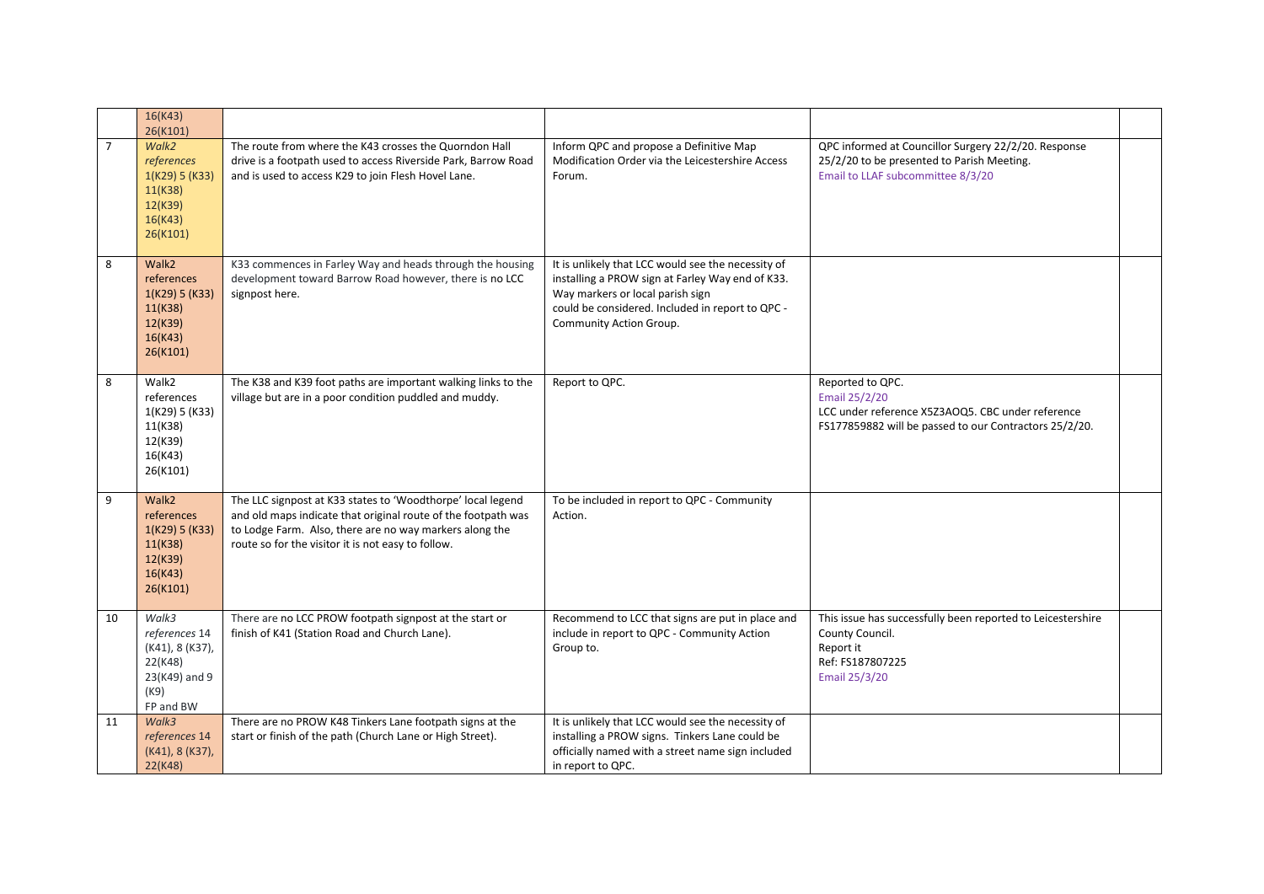|                | 16(K43)<br>26(K101)                                                                        |                                                                                                                                                                                                                                               |                                                                                                                                                                                                                           |                                                                                                                                                  |
|----------------|--------------------------------------------------------------------------------------------|-----------------------------------------------------------------------------------------------------------------------------------------------------------------------------------------------------------------------------------------------|---------------------------------------------------------------------------------------------------------------------------------------------------------------------------------------------------------------------------|--------------------------------------------------------------------------------------------------------------------------------------------------|
| $\overline{7}$ | Walk2<br>references<br>1(K29) 5 (K33)<br>11(K38)<br>12(K39)<br>16(K43)<br>26(K101)         | The route from where the K43 crosses the Quorndon Hall<br>drive is a footpath used to access Riverside Park, Barrow Road<br>and is used to access K29 to join Flesh Hovel Lane.                                                               | Inform QPC and propose a Definitive Map<br>Modification Order via the Leicestershire Access<br>Forum.                                                                                                                     | QPC informed at Councillor Surgery 22/2/20. Response<br>25/2/20 to be presented to Parish Meeting.<br>Email to LLAF subcommittee 8/3/20          |
| 8              | Walk2<br>references<br>1(K29) 5 (K33)<br>11(K38)<br>12(K39)<br>16(K43)<br>26(K101)         | K33 commences in Farley Way and heads through the housing<br>development toward Barrow Road however, there is no LCC<br>signpost here.                                                                                                        | It is unlikely that LCC would see the necessity of<br>installing a PROW sign at Farley Way end of K33.<br>Way markers or local parish sign<br>could be considered. Included in report to QPC -<br>Community Action Group. |                                                                                                                                                  |
| 8              | Walk2<br>references<br>1(K29) 5 (K33)<br>11(K38)<br>12(K39)<br>16(K43)<br>26(K101)         | The K38 and K39 foot paths are important walking links to the<br>village but are in a poor condition puddled and muddy.                                                                                                                       | Report to QPC.                                                                                                                                                                                                            | Reported to QPC.<br>Email 25/2/20<br>LCC under reference X5Z3AOQ5. CBC under reference<br>FS177859882 will be passed to our Contractors 25/2/20. |
| 9              | Walk2<br>references<br>1(K29) 5 (K33)<br>11(K38)<br>12(K39)<br>16(K43)<br>26(K101)         | The LLC signpost at K33 states to 'Woodthorpe' local legend<br>and old maps indicate that original route of the footpath was<br>to Lodge Farm. Also, there are no way markers along the<br>route so for the visitor it is not easy to follow. | To be included in report to QPC - Community<br>Action.                                                                                                                                                                    |                                                                                                                                                  |
| 10             | Walk3<br>references 14<br>(K41), 8 (K37),<br>22(K48)<br>23(K49) and 9<br>(K9)<br>FP and BW | There are no LCC PROW footpath signpost at the start or<br>finish of K41 (Station Road and Church Lane).                                                                                                                                      | Recommend to LCC that signs are put in place and<br>include in report to QPC - Community Action<br>Group to.                                                                                                              | This issue has successfully been reported to Leicestershire<br>County Council.<br>Report it<br>Ref: FS187807225<br>Email 25/3/20                 |
| 11             | Walk3<br>references 14<br>(K41), 8 (K37),<br>22(K48)                                       | There are no PROW K48 Tinkers Lane footpath signs at the<br>start or finish of the path (Church Lane or High Street).                                                                                                                         | It is unlikely that LCC would see the necessity of<br>installing a PROW signs. Tinkers Lane could be<br>officially named with a street name sign included<br>in report to QPC.                                            |                                                                                                                                                  |